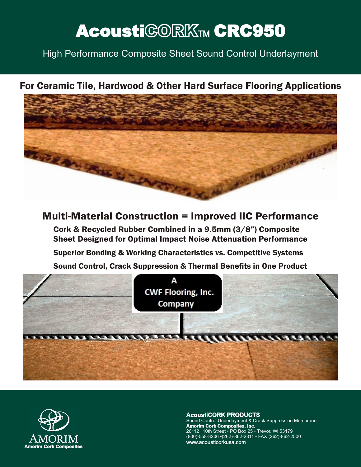# AcoustiCORKTM CRC950

High Performance Composite Sheet Sound Control Underlayment

## For Ceramic Tile, Hardwood & Other Hard Surface Flooring Applications



## Multi-Material Construction = Improved IIC Performance

Cork & Recycled Rubber Combined in a 9.5mm (3/8") Composite Sheet Designed for Optimal Impact Noise Attenuation Performance

Superior Bonding & Working Characteristics vs. Competitive Systems

Sound Control, Crack Suppression & Thermal Benefits in One Product

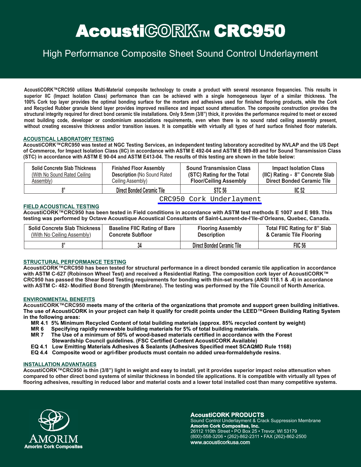# AcoustiCORKTM CRC950

## High Performance Composite Sheet Sound Control Underlayment

AcoustiCORK™CRC950 utilizes Multi-Material composite technology to create a product with several resonance frequencies. This results in superior IIC (Impact Isolation Class) performance than can be achieved with a single homogeneous layer of a similar thickness. The 100% Cork top laver provides the optimal bonding surface for the mortars and adhesives used for finished flooring products, while the Cork and Recycled Rubber granule blend layer provides improved resilience and impact sound attenuation. The composite construction provides the structural integrity required for direct bond ceramic tile installations. Only 9.5mm (3/8") thick, it provides the performance required to meet or exceed most building code, developer or condominium associations requirements, even when there is no sound rated ceiling assembly present, without creating excessive thickness and/or transition issues. It is compatible with virtually all types of hard surface finished floor materials.

#### **ACOUSTICAL LABORATORY TESTING**

AcoustiCORK™CRC950 was tested at NGC Testing Services, an independent testing laboratory accredited by NVLAP and the US Dept of Commerce, for Impact Isolation Class (IIC) in accordance with ASTM E 492-04 and ASTM E 989-89 and for Sound Transmission Class (STC) in accordance with ASTM E 90-04 and ASTM E413-04. The results of this testing are shown in the table below:

| <b>Solid Concrete Slab Thickness</b> | <b>Finished Floor Assembly</b>      | <b>Sound Transmission Class</b> | <b>Impact Isolation Class</b>     |
|--------------------------------------|-------------------------------------|---------------------------------|-----------------------------------|
| (With No Sound Rated Ceiling)        | <b>Description (No Sound Rated)</b> | (STC) Rating for the Total      | (IIC) Rating - 8" Concrete Slab   |
| Assembly)                            | Ceiling Assembly)                   | <b>Floor/Ceiling Assembly</b>   | <b>Direct Bonded Ceramic Tile</b> |
|                                      | <b>Direct Bonded Ceramic Tile</b>   | STC 56                          | IC <sub>52</sub>                  |

[CRC950 Cork Underlayment](http://cartwheelfactory.com/cork-underlayment.html)

#### **FIELD ACOUSTICAL TESTING**

**AcoustiCORK™CRC950 has been tested in Field conditions in accordance with ASTM test methods E 1007 and E 989. This testing was performed by Octave Acoustique Acoustical Consultants of Saint-Laurent-de-l'lle-d'Orleans, Quebec, Canada.** 

| <b>Solid Concrete Slab Thickness</b> | <b>Baseline FIIC Rating of Bare</b> | <b>Flooring Assembly</b>          | Total FIIC Rating for 8" Slab |
|--------------------------------------|-------------------------------------|-----------------------------------|-------------------------------|
| (With No Ceiling Assembly)           | <b>Concrete Subfloor</b>            | <b>Description</b>                | & Ceramic Tile Flooring       |
|                                      |                                     | <b>Direct Bonded Ceramic Tile</b> | <b>FIIC 56</b>                |

#### **STRUCTURAL PERFORMANCE TESTING**

**AcoustiCORK™CRC950 has been tested for structural performance in a direct bonded ceramic tile application in accordance with ASTM C-627 (Robinson Wheel Test) and received a Residential Rating. The composition cork layer of AcoustiCORK™ CRC950 has passed the Shear Bond Testing requirements for bonding with thin-set mortars (ANSI 118.1 & .4) in accordance with ASTM C- 482- Modified Bond Strength (Membrane). The testing was performed by the Tile Council of North America.** 

#### **ENVIRONMENTAL BENEFITS**

**AcoustiCORK™CRC950 meets many of the criteria of the organizations that promote and support green building initiatives. ™ The use of AcoustiCORK in your project can help it qualify for credit points under the LEED Green Building Rating System in the following areas:**

- **MR 4.1 5% Minimum Recycled Content of total building materials (approx. 85% recycled content by weight)**
- **MR 6 Specifying rapidly renewable building materials for 5% of total building materials.**
- **MR 7 The Use of a minimum of 50% of wood-based materials certified in accordance with the Forest Stewardship Council guidelines. (FSC Certified Content AcoustiCORK Available)**
- **EQ 4.1 Low Emitting Materials Adhesives & Sealants (Adhesives Specified meet SCAQMD Rule 1168)**
- **. EQ 4.4 Composite wood or agri-fiber products must contain no added urea-formaldehyde resins**

#### **INSTALLATION ADVANTAGES**

**AcoustiCORK™CRC950 is thin (3/8") light in weight and easy to install, yet it provides superior impact noise attenuation when compared to other direct bond systems of similar thickness in bonded tile applications. It is compatible with virtually all types of flooring adhesives, resulting in reduced labor and material costs and a lower total installed cost than many competitive systems.**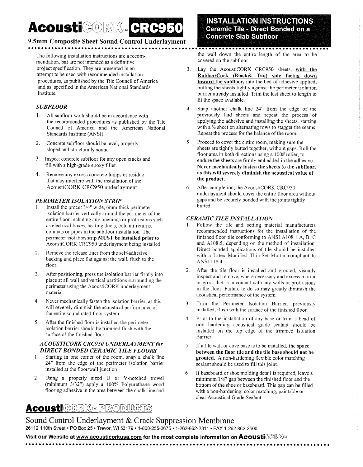# AcousticORK. GRC950

### 9.5mm Composite Sheet Sound Control Underlayment

The following installation instructions are a recommendation, but are not intended as a definitive project specification. They are presented in an attempt to be used with recommended installation procedures, as published by the Tile Council of America and as specified in the American National Standards Institute.

#### **SUBFLOOR**

- 1. All subfloor work should be in accordance with the recommended procedures as published by the Tile Council of America and the American National Standards Institute (ANSI).
- 2. Concrete subfloor should be level, properly sloped and structurally sound
- 3. Inspect concrete subfloor for any open cracks and fill with a high-grade epoxy filler.
- 4. Remove any excess concrete lumps or residue that may interfere with the installation of the AcoustiCORK CRC950 underlayment.

#### **PERIMETER ISOLATION STRIP**

- Install the precut 3/4" wide, 6mm thick perimeter isolation barrier vertically around the perimeter of the entire floor including any openings or protrusions such as electrical boxes, heating ducts, cold air returns, columns or pipes in the subfloor installation. The perimeter isolation strip MUST be installed prior to AcoustiCORK CRC950 underlayment being installed
- $2<sup>1</sup>$ Remove the release liner from the self-adhesive backing and place flat against the wall, flush to the floor.
- $3<sub>1</sub>$ After positioning, press the isolation barrier firmly into place at all wall and vertical partitions surrounding the perimeter using the AcoustiCORK underlayment material.
- Never mechanically fasten the isolation barrier, as this  $4<sub>1</sub>$ will severely diminish the acoustical performance of the entire sound rated floor system.
- After the finished floor is installed the perimeter 5. isolation barrier should be trimmed flush with the surface of the finished floor.

#### **ACOUSTICORK CRC950 UNDERLAYMENT for DIRECT BONDED CERAMIC TILE FLOORS**

- Starting in one corner of the room, snap a chalk line  $1_{-}$ 24" from the edge of the perimeter isolation barrier installed at the floor/wall junction.
- Using a properly sized U or V-notched trowel  $2.$ (minimum 3/32") apply a 100% Polyurethane wood flooring adhesive in the area between the chalk line and

### **INSTALLATION INSTRUCTIONS Ceramic Tile - Direct Bonded on a Concrete Slab Subfloor**

the wall down the entire length of the area to be covered on the subfloor.

- $\mathbf{3}$ Lay the AcoustiCORK CRC950 sheets, with the Rubber/Cork (Black& Tan) side facing down toward the subfloor, into the bed of adhesive applied, butting the sheets tightly against the perimeter isolation barrier already installed. Trim the last sheet to length to fit the space available.
- Snap another chalk line 24" from the edge of the  $\overline{4}$ previously laid sheets and repeat the process of applying the adhesive and installing the sheets, starting with a  $\frac{1}{2}$  sheet on alternating rows to stagger the seams. Repeat the process for the balance of the room.
- $\mathcal{S}$ Proceed to cover the entire room, making sure the sheets are tightly butted together, without gaps. Roll the floor area in both directions using a 100# roller, to endure the sheets are firmly embedded in the adhesive. Never mechanically fasten the sheets to the subfloor, as this will severely diminish the acoustical value of the product.
- 6. After completion, the AcoustiCORK CRC950 underlayment should cover the entire floor area without gaps and be securely bonded with the joints tightly butted.

#### **CERAMIC TILE INSTALLATION**

- $1<sub>1</sub>$ Follow the tile and setting material manufacturers recommended instructions for the installation of the finished floor tile conforming to ANSI A108 1 A, B, C and A108.5, depending on the method of installation. Direct bonded applications of tile should be installed with a Latex Modified Thin-Set Mortar compliant to ANSI 118.4.
- $\overline{2}$ . After the tile floor is installed and grouted, visually inspect and remove, where necessary and excess mortar or grout that is in contact with any walls or protrusions in the floor. Failure to do so may greatly diminish the acoustical performance of the system.
- Trim the Perimeter Isolation Barrier, previously 3 installed, flush with the surface of the finished floor
- $\overline{4}$ Prior to the installation of any base or trim, a bead of non hardening acoustical grade sealant should be installed on the top edge of the trimmed Isolation Barrier.
- If a tile wall or cove base is to be installed, the space 5. between the floor tile and the tile base should not be grouted. A non-hardening flexible color matching sealant should be used to fill this joint.
- 6 If baseboard or shoe molding detail is required, leave a minimum 1/8" gap between the finished floor and the bottom of the shoe or baseboard. This gap can be filled with a non-hardening, color matching, paintable or clear Acquetical Grade Sector